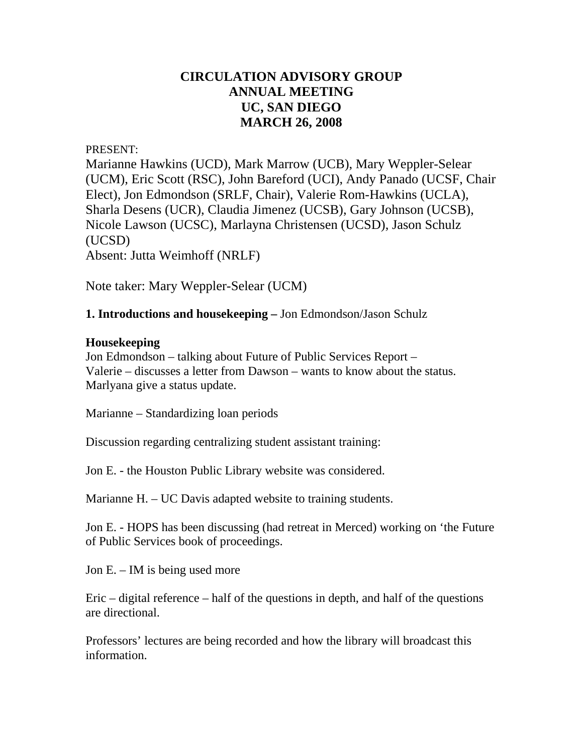# **CIRCULATION ADVISORY GROUP ANNUAL MEETING UC, SAN DIEGO MARCH 26, 2008**

#### PRESENT:

Marianne Hawkins (UCD), Mark Marrow (UCB), Mary Weppler-Selear (UCM), Eric Scott (RSC), John Bareford (UCI), Andy Panado (UCSF, Chair Elect), Jon Edmondson (SRLF, Chair), Valerie Rom-Hawkins (UCLA), Sharla Desens (UCR), Claudia Jimenez (UCSB), Gary Johnson (UCSB), Nicole Lawson (UCSC), Marlayna Christensen (UCSD), Jason Schulz (UCSD) Absent: Jutta Weimhoff (NRLF)

Note taker: Mary Weppler-Selear (UCM)

### **1. Introductions and housekeeping –** Jon Edmondson/Jason Schulz

### **Housekeeping**

Jon Edmondson – talking about Future of Public Services Report – Valerie – discusses a letter from Dawson – wants to know about the status. Marlyana give a status update.

Marianne – Standardizing loan periods

Discussion regarding centralizing student assistant training:

Jon E. - the Houston Public Library website was considered.

Marianne H. – UC Davis adapted website to training students.

Jon E. - HOPS has been discussing (had retreat in Merced) working on 'the Future of Public Services book of proceedings.

Jon E. – IM is being used more

Eric – digital reference – half of the questions in depth, and half of the questions are directional.

Professors' lectures are being recorded and how the library will broadcast this information.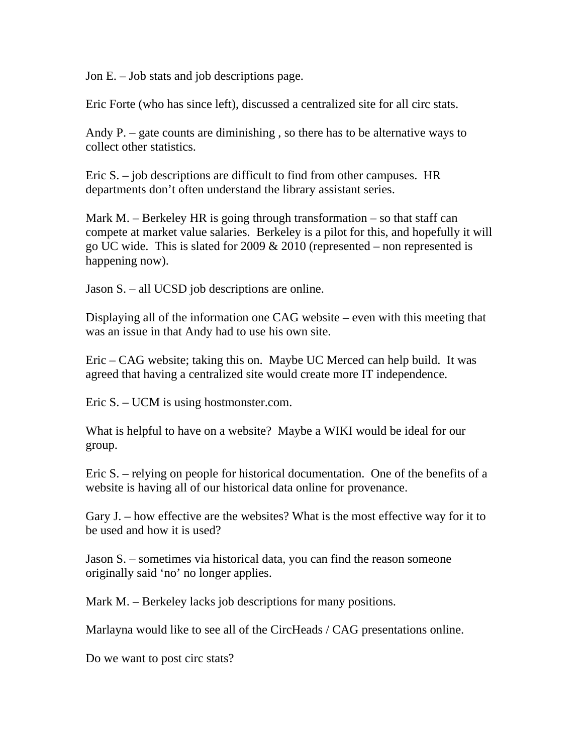Jon E. – Job stats and job descriptions page.

Eric Forte (who has since left), discussed a centralized site for all circ stats.

Andy P. – gate counts are diminishing , so there has to be alternative ways to collect other statistics.

Eric S. – job descriptions are difficult to find from other campuses. HR departments don't often understand the library assistant series.

Mark M. – Berkeley HR is going through transformation – so that staff can compete at market value salaries. Berkeley is a pilot for this, and hopefully it will go UC wide. This is slated for 2009  $& 2010$  (represented – non represented is happening now).

Jason S. – all UCSD job descriptions are online.

Displaying all of the information one CAG website – even with this meeting that was an issue in that Andy had to use his own site.

Eric – CAG website; taking this on. Maybe UC Merced can help build. It was agreed that having a centralized site would create more IT independence.

Eric S. – UCM is using hostmonster.com.

What is helpful to have on a website? Maybe a WIKI would be ideal for our group.

Eric S. – relying on people for historical documentation. One of the benefits of a website is having all of our historical data online for provenance.

Gary J. – how effective are the websites? What is the most effective way for it to be used and how it is used?

Jason S. – sometimes via historical data, you can find the reason someone originally said 'no' no longer applies.

Mark M. – Berkeley lacks job descriptions for many positions.

Marlayna would like to see all of the CircHeads / CAG presentations online.

Do we want to post circ stats?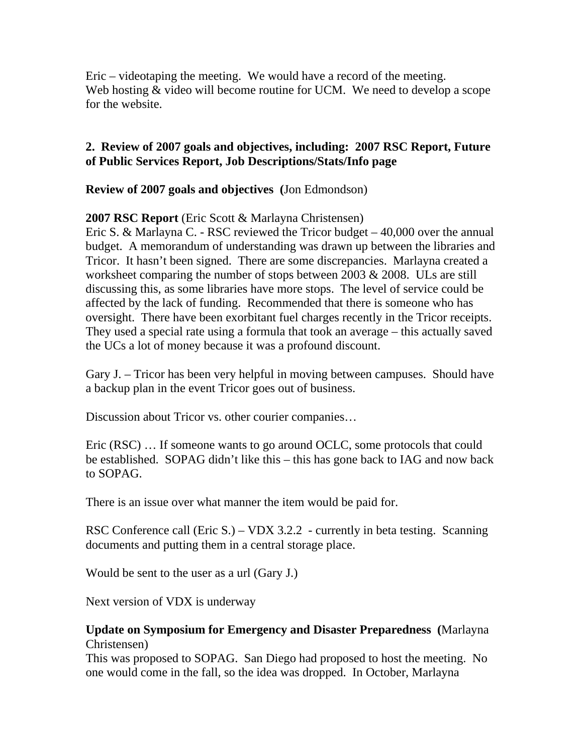Eric – videotaping the meeting. We would have a record of the meeting. Web hosting  $&$  video will become routine for UCM. We need to develop a scope for the website.

## **2. Review of 2007 goals and objectives, including: 2007 RSC Report, Future of Public Services Report, Job Descriptions/Stats/Info page**

**Review of 2007 goals and objectives (**Jon Edmondson)

**2007 RSC Report** (Eric Scott & Marlayna Christensen)

Eric S. & Marlayna C. - RSC reviewed the Tricor budget – 40,000 over the annual budget. A memorandum of understanding was drawn up between the libraries and Tricor. It hasn't been signed. There are some discrepancies. Marlayna created a worksheet comparing the number of stops between 2003 & 2008. ULs are still discussing this, as some libraries have more stops. The level of service could be affected by the lack of funding. Recommended that there is someone who has oversight. There have been exorbitant fuel charges recently in the Tricor receipts. They used a special rate using a formula that took an average – this actually saved the UCs a lot of money because it was a profound discount.

Gary J. – Tricor has been very helpful in moving between campuses. Should have a backup plan in the event Tricor goes out of business.

Discussion about Tricor vs. other courier companies…

Eric (RSC) … If someone wants to go around OCLC, some protocols that could be established. SOPAG didn't like this – this has gone back to IAG and now back to SOPAG.

There is an issue over what manner the item would be paid for.

RSC Conference call (Eric S.) – VDX 3.2.2 - currently in beta testing. Scanning documents and putting them in a central storage place.

Would be sent to the user as a url (Gary J.)

Next version of VDX is underway

## **Update on Symposium for Emergency and Disaster Preparedness (**Marlayna Christensen)

This was proposed to SOPAG. San Diego had proposed to host the meeting. No one would come in the fall, so the idea was dropped. In October, Marlayna